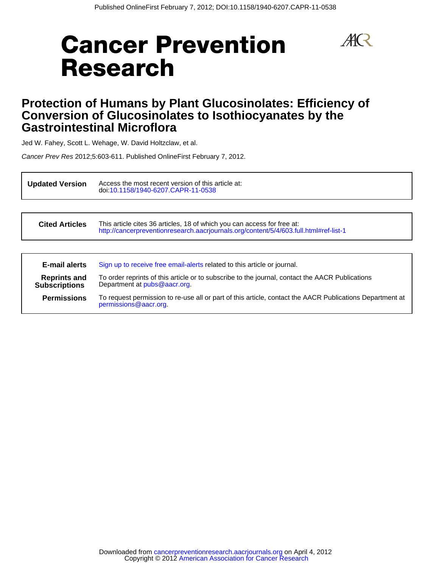# **Cancer Prevention Research**



# **Gastrointestinal Microflora Conversion of Glucosinolates to Isothiocyanates by the Protection of Humans by Plant Glucosinolates: Efficiency of**

Jed W. Fahey, Scott L. Wehage, W. David Holtzclaw, et al.

Cancer Prev Res 2012;5:603-611. Published OnlineFirst February 7, 2012.

**Updated Version** doi[:10.1158/1940-6207.CAPR-11-0538](http://cancerpreventionresearch.aacrjournals.org/lookup/doi/10.1158/1940-6207.CAPR-11-0538) Access the most recent version of this article at:

**Cited Articles** <http://cancerpreventionresearch.aacrjournals.org/content/5/4/603.full.html#ref-list-1> This article cites 36 articles, 18 of which you can access for free at:

| <b>E-mail alerts</b>                        | Sign up to receive free email-alerts related to this article or journal.                                                          |
|---------------------------------------------|-----------------------------------------------------------------------------------------------------------------------------------|
| <b>Reprints and</b><br><b>Subscriptions</b> | To order reprints of this article or to subscribe to the journal, contact the AACR Publications<br>Department at pubs@aacr.org.   |
| <b>Permissions</b>                          | To request permission to re-use all or part of this article, contact the AACR Publications Department at<br>permissions@aacr.org. |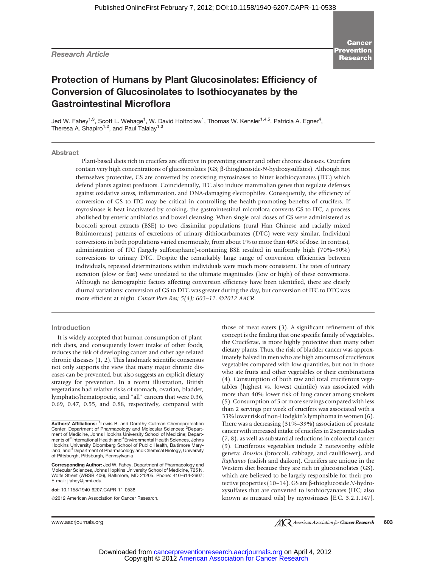Research Article

**Cancer** Prevention Research

# Protection of Humans by Plant Glucosinolates: Efficiency of Conversion of Glucosinolates to Isothiocyanates by the Gastrointestinal Microflora

Jed W. Fahey<sup>1,3</sup>, Scott L. Wehage<sup>1</sup>, W. David Holtzclaw<sup>1</sup>, Thomas W. Kensler<sup>1,4,5</sup>, Patricia A. Egner<sup>4</sup>, Theresa A. Shapiro<sup>1,2</sup>, and Paul Talalay<sup>1,3</sup>

Abstract

Plant-based diets rich in crucifers are effective in preventing cancer and other chronic diseases. Crucifers contain very high concentrations of glucosinolates (GS;  $\beta$ -thioglucoside-N-hydroxysulfates). Although not themselves protective, GS are converted by coexisting myrosinases to bitter isothiocyanates (ITC) which defend plants against predators. Coincidentally, ITC also induce mammalian genes that regulate defenses against oxidative stress, inflammation, and DNA-damaging electrophiles. Consequently, the efficiency of conversion of GS to ITC may be critical in controlling the health-promoting benefits of crucifers. If myrosinase is heat-inactivated by cooking, the gastrointestinal microflora converts GS to ITC, a process abolished by enteric antibiotics and bowel cleansing. When single oral doses of GS were administered as broccoli sprout extracts (BSE) to two dissimilar populations (rural Han Chinese and racially mixed Baltimoreans) patterns of excretions of urinary dithiocarbamates (DTC) were very similar. Individual conversions in both populations varied enormously, from about 1% to more than 40% of dose. In contrast, administration of ITC (largely sulforaphane)-containing BSE resulted in uniformly high (70%–90%) conversions to urinary DTC. Despite the remarkably large range of conversion efficiencies between individuals, repeated determinations within individuals were much more consistent. The rates of urinary excretion (slow or fast) were unrelated to the ultimate magnitudes (low or high) of these conversions. Although no demographic factors affecting conversion efficiency have been identified, there are clearly diurnal variations: conversion of GS to DTC was greater during the day, but conversion of ITC to DTC was more efficient at night. Cancer Prev Res; 5(4); 603-11. ©2012 AACR.

#### Introduction

It is widely accepted that human consumption of plantrich diets, and consequently lower intake of other foods, reduces the risk of developing cancer and other age-related chronic diseases (1, 2). This landmark scientific consensus not only supports the view that many major chronic diseases can be prevented, but also suggests an explicit dietary strategy for prevention. In a recent illustration, British vegetarians had relative risks of stomach, ovarian, bladder, lymphatic/hematopoetic, and "all" cancers that were 0.36, 0.69, 0.47, 0.55, and 0.88, respectively, compared with

Corresponding Author: Jed W. Fahey, Department of Pharmacology and Molecular Sciences, Johns Hopkins University School of Medicine, 725 N. Wolfe Street (WBSB 406), Baltimore, MD 21205. Phone: 410-614-2607; E-mail: jfahey@jhmi.edu.

doi: 10.1158/1940-6207.CAPR-11-0538

©2012 American Association for Cancer Research.

those of meat eaters (3). A significant refinement of this concept is the finding that one specific family of vegetables, the Cruciferae, is more highly protective than many other dietary plants. Thus, the risk of bladder cancer was approximately halved in men who ate high amounts of cruciferous vegetables compared with low quantities, but not in those who ate fruits and other vegetables or their combinations (4). Consumption of both raw and total cruciferous vegetables (highest vs. lowest quintile) was associated with more than 40% lower risk of lung cancer among smokers (5). Consumption of 5 or more servings compared with less than 2 servings per week of crucifers was associated with a 33% lower risk of non-Hodgkin's lymphoma in women (6). There was a decreasing (31%–39%) association of prostate cancer with increased intake of crucifers in 2 separate studies (7, 8), as well as substantial reductions in colorectal cancer (9). Cruciferous vegetables include 2 noteworthy edible genera: Brassica (broccoli, cabbage, and cauliflower), and Raphanus (radish and daikon). Crucifers are unique in the Western diet because they are rich in glucosinolates (GS), which are believed to be largely responsible for their protective properties (10–14). GS are β-thioglucoside N-hydroxysulfates that are converted to isothiocyanates (ITC; also known as mustard oils) by myrosinases [E.C. 3.2.1.147],

Authors' Affiliations: <sup>1</sup> Lewis B. and Dorothy Cullman Chemoprotection Center, Department of Pharmacology and Molecular Sciences; <sup>2</sup>Department of Medicine, Johns Hopkins University School of Medicine; Departments of <sup>3</sup>International Health and <sup>4</sup>Environmental Health Sciences, Johns Hopkins University Bloomberg School of Public Health, Baltimore Maryland; and <sup>5</sup>Department of Pharmacology and Chemical Biology, University of Pittsburgh, Pittsburgh, Pennsylvania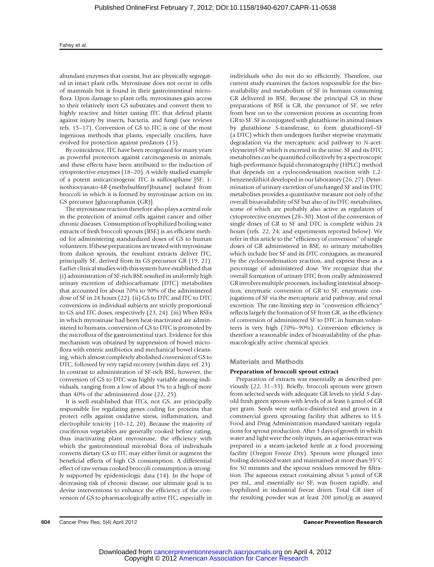abundant enzymes that coexist, but are physically segregated in intact plant cells. Myrosinase does not occur in cells of mammals but is found in their gastrointestinal microflora. Upon damage to plant cells, myrosinases gain access to their relatively inert GS substrates and convert them to highly reactive and bitter tasting ITC that defend plants against injury by insects, bacteria, and fungi (see reviews refs. 15–17). Conversion of GS to ITC is one of the most ingenious methods that plants, especially crucifers, have evolved for protection against predators (15).

By coincidence, ITC have been recognized for many years as powerful protectors against carcinogenesis in animals, and these effects have been attributed to the induction of cytoprotective enzymes (18–20). A widely studied example of a potent anticarcinogenic ITC is sulforaphane [SF; 1 isothiocyanato-4R-(methylsulfinyl)butane] isolated from broccoli in which it is formed by myrosinase action on its GS precursor [glucoraphanin (GR)].

The myrosinase reaction therefore also plays a central role in the protection of animal cells against cancer and other chronic diseases. Consumption of lyophilized boiling water extracts of fresh broccoli sprouts (BSE) is an efficient method for administering standardized doses of GS to human volunteers. If these preparations are treated with myrosinase from daikon sprouts, the resultant extracts deliver ITC, principally SF, derived from its GS precursor GR (19, 21). Earlier clinical studies with this system have established that (i) administration of SF-rich BSE resulted in uniformly high urinary excretion of dithiocarbamate (DTC) metabolites that accounted for about 70% to 90% of the administered dose of SF in 24 hours (22). (ii) GS to DTC and ITC to DTC conversions in individual subjects are strictly proportional to GS and ITC doses, respectively (23, 24). (iii) When BSEs in which myrosinase had been heat-inactivated are administered to humans, conversion of GS to DTC is promoted by the microflora of the gastrointestinal tract. Evidence for this mechanism was obtained by suppression of bowel microflora with enteric antibiotics and mechanical bowel cleansing, which almost completely abolished conversion of GS to DTC, followed by very rapid recovery (within days; ref. 23). In contrast to administration of SF-rich BSE, however, the conversion of GS to DTC was highly variable among individuals, ranging from a low of about 1% to a high of more than 40% of the administered dose (22, 25).

It is well established that ITCs, not GS, are principally responsible for regulating genes coding for proteins that protect cells against oxidative stress, inflammation, and electrophile toxicity (10–12, 20). Because the majority of cruciferous vegetables are generally cooked before eating, thus inactivating plant myrosinase, the efficiency with which the gastrointestinal microbial flora of individuals converts dietary GS to ITC may either limit or augment the beneficial effects of high GS consumption. A differential effect of raw versus cooked broccoli consumption is strongly supported by epidemiologic data (14). In the hope of decreasing risk of chronic disease, our ultimate goal is to devise interventions to enhance the efficiency of the conversion of GS to pharmacologically active ITC, especially in individuals who do not do so efficiently. Therefore, our current study examines the factors responsible for the bioavailability and metabolism of SF in humans consuming GR delivered in BSE. Because the principal GS in these preparations of BSE is GR, the precursor of SF, we refer from here on to the conversion process as occurring from GR to SF. SF is conjugated with glutathione in animal tissues by glutathione S-transferase, to form glutathionyl–SF (a DTC) which then undergoes further stepwise enzymatic degradation via the mercapturic acid pathway to N-acetylcysteinyl-SF which is excreted in the urine. SF and its DTC metabolites can be quantified collectively by a spectroscopic high-performance liquid chromatography (HPLC) method that depends on a cyclocondensation reaction with 1,2 benzenedithiol developed in our laboratory (26, 27). Determination of urinary excretion of unchanged SF and its DTC metabolites provides a quantitative measure not only of the overall bioavailability of SF but also of its DTC metabolites, some of which are probably also active as regulators of cytoprotective enzymes (28–30). Most of the conversion of single doses of GR to SF and DTC is complete within 24 hours (refs. 22, 24; and experiments reported below). We refer in this article to the "efficiency of conversion" of single doses of GR administered in BSE, to urinary metabolites which include free SF and its DTC conjugates, as measured by the cyclocondensation reaction, and express these as a percentage of administered dose. We recognize that the overall formation of urinary DTC from orally administered GR involves multiple processes, including intestinal absorption, enzymatic conversion of GR to SF, enzymatic conjugations of SF via the mercapturic acid pathway, and renal excretion. The rate-limiting step in "conversion efficiency" reflects largely the formation of SF from GR, as the efficiency of conversion of administered SF to DTC in human volunteers is very high (70%–90%). Conversion efficiency is therefore a reasonable index of bioavailability of the pharmacologically active chemical species.

#### Materials and Methods

#### Preparation of broccoli sprout extract

Preparation of extracts was essentially as described previously (22, 31–33). Briefly, broccoli sprouts were grown from selected seeds with adequate GR levels to yield 3-dayold fresh green sprouts with levels of at least 6  $\mu$ mol of GR per gram. Seeds were surface-disinfected and grown in a commercial green sprouting facility that adheres to U.S. Food and Drug Administration mandated sanitary regulations for sprout production. After 3 days of growth in which water and light were the only inputs, an aqueous extract was prepared in a steam-jacketed kettle at a food processing facility (Oregon Freeze Dry). Sprouts were plunged into boiling deionized water and maintained at more than 95°C for 30 minutes and the sprout residues removed by filtration. The aqueous extract containing about  $5 \mu$ mol of GR per mL, and essentially no SF, was frozen rapidly, and lyophilized in industrial freeze driers. Total GR titer of the resulting powder was at least  $200 \mu \text{mol/g}$  as assayed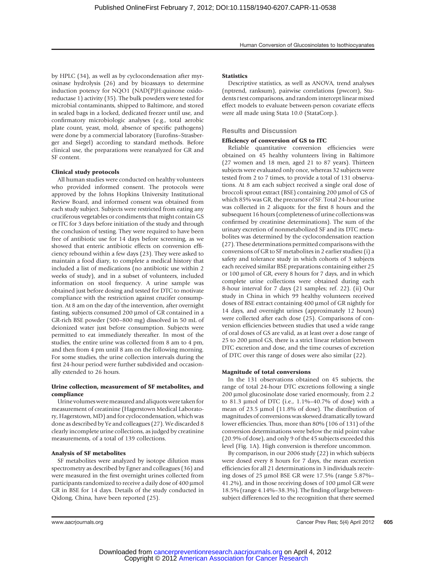by HPLC (34), as well as by cyclocondensation after myrosinase hydrolysis (26) and by bioassays to determine induction potency for NQO1 (NAD(P)H:quinone oxidoreductase 1) activity (35). The bulk powders were tested for microbial contaminants, shipped to Baltimore, and stored in sealed bags in a locked, dedicated freezer until use, and confirmatory microbiologic analyses (e.g., total aerobic plate count, yeast, mold, absence of specific pathogens) were done by a commercial laboratory (Eurofins–Strasberger and Siegel) according to standard methods. Before clinical use, the preparations were reanalyzed for GR and SF content.

# Clinical study protocols

All human studies were conducted on healthy volunteers who provided informed consent. The protocols were approved by the Johns Hopkins University Institutional Review Board, and informed consent was obtained from each study subject. Subjects were restricted from eating any cruciferous vegetables or condiments that might contain GS or ITC for 3 days before initiation of the study and through the conclusion of testing. They were required to have been free of antibiotic use for 14 days before screening, as we showed that enteric antibiotic effects on conversion efficiency rebound within a few days (23). They were asked to maintain a food diary, to complete a medical history that included a list of medications (no antibiotic use within 2 weeks of study), and in a subset of volunteers, included information on stool frequency. A urine sample was obtained just before dosing and tested for DTC to motivate compliance with the restriction against crucifer consumption. At 8 am on the day of the intervention, after overnight fasting, subjects consumed 200 µmol of GR contained in a GR-rich BSE powder (500–800 mg) dissolved in 50 mL of deionized water just before consumption. Subjects were permitted to eat immediately thereafter. In most of the studies, the entire urine was collected from 8 am to 4 pm, and then from 4 pm until 8 am on the following morning. For some studies, the urine collection intervals during the first 24-hour period were further subdivided and occasionally extended to 26 hours.

## Urine collection, measurement of SF metabolites, and compliance

Urine volumes weremeasured and aliquots were taken for measurement of creatinine (Hagerstown Medical Laboratory, Hagerstown, MD) and for cyclocondensation, which was done as described by Ye and colleagues (27). We discarded 8 clearly incomplete urine collections, as judged by creatinine measurements, of a total of 139 collections.

## Analysis of SF metabolites

SF metabolites were analyzed by isotope dilution mass spectrometry as described by Egner and colleagues (36) and were measured in the first overnight urines collected from participants randomized to receive a daily dose of  $400 \mu$ mol GR in BSE for 14 days. Details of the study conducted in Qidong, China, have been reported (25).

# **Statistics**

Descriptive statistics, as well as ANOVA, trend analyses (nptrend, ranksum), pairwise correlations (pwcorr), Students t test comparisons, and random intercept linear mixed effect models to evaluate between-person covariate effects were all made using Stata 10.0 (StataCorp.).

# Results and Discussion

# Efficiency of conversion of GS to ITC

Reliable quantitative conversion efficiencies were obtained on 45 healthy volunteers living in Baltimore (27 women and 18 men, aged 21 to 87 years). Thirteen subjects were evaluated only once, whereas 32 subjects were tested from 2 to 7 times, to provide a total of 131 observations. At 8 am each subject received a single oral dose of broccoli sprout extract (BSE) containing 200 µmol of GS of which 85% was GR, the precursor of SF. Total 24-hour urine was collected in 2 aliquots: for the first 8 hours and the subsequent 16 hours (completeness of urine collections was confirmed by creatinine determinations). The sum of the urinary excretion of nonmetabolized SF and its DTC metabolites was determined by the cyclocondensation reaction (27). These determinations permitted comparisons with the conversions of GR to SF metabolites in 2 earlier studies: (i) a safety and tolerance study in which cohorts of 3 subjects each received similar BSE preparations containing either 25 or 100 µmol of GR, every 8 hours for 7 days, and in which complete urine collections were obtained during each 8-hour interval for 7 days (21 samples; ref. 22). (ii) Our study in China in which 99 healthy volunteers received doses of BSE extract containing 400 µmol of GR nightly for 14 days, and overnight urines (approximately 12 hours) were collected after each dose (25). Comparisons of conversion efficiencies between studies that used a wide range of oral doses of GS are valid, as at least over a dose range of 25 to 200 µmol GS, there is a strict linear relation between DTC excretion and dose, and the time courses of excretion of DTC over this range of doses were also similar (22).

# Magnitude of total conversions

In the 131 observations obtained on 45 subjects, the range of total 24-hour DTC excretions following a single 200 µmol glucosinolate dose varied enormously, from 2.2 to 81.3  $\mu$ mol of DTC (i.e., 1.1%–40.7% of dose) with a mean of 23.5  $\mu$ mol (11.8% of dose). The distribution of magnitudes of conversions was skewed dramatically toward lower efficiencies. Thus, more than 80% (106 of 131) of the conversion determinations were below the mid point value (20.9% of dose), and only 9 of the 45 subjects exceeded this level (Fig. 1A). High conversion is therefore uncommon.

By comparison, in our 2006 study (22) in which subjects were dosed every 8 hours for 7 days, the mean excretion efficiencies for all 21 determinations in 3 individuals receiving doses of 25 µmol BSE GR were  $17.5\%$  (range  $5.87\%$ –  $41.2\%$ ), and in those receiving doses of 100  $\mu$ mol GR were 18.5% (range 4.14%–38.3%). The finding of large betweensubject differences led to the recognition that there seemed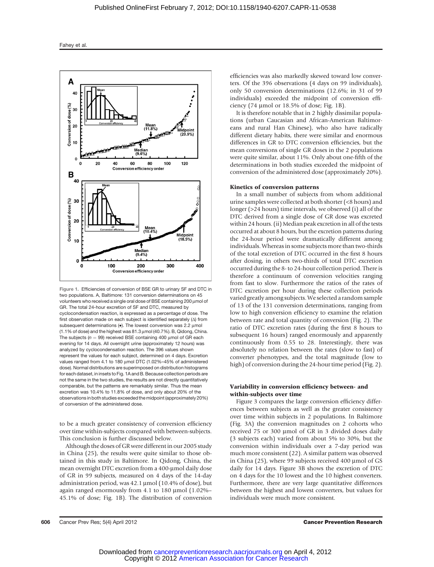

Figure 1. Efficiencies of conversion of BSE GR to urinary SF and DTC in two populations. A, Baltimore: 131 conversion determinations on 45 volunteers who received a single oral dose of BSE containing 200 mmol of GR. The total 24-hour excretion of SF and DTC, measured by cyclocondensation reaction, is expressed as a percentage of dose. The first observation made on each subject is identified separately  $(\Delta)$  from subsequent determinations ( $\bullet$ ). The lowest conversion was 2.2 umol  $(1.1\%$  of dose) and the highest was  $81.3 \mu$ mol  $(40.7\%)$ . B, Qidong, China. The subjects ( $n = 99$ ) received BSE containing 400 µmol of GR each evening for 14 days. All overnight urine (approximately 12 hours) was analyzed by cyclocondensation reaction. The 396 values shown represent the values for each subject, determined on 4 days. Excretion values ranged from 4.1 to 180  $\mu$ mol DTC (1.02%–45% of administered dose). Normal distributions are superimposed on distribution histograms for each dataset, in insets to Fig. 1A and B. Because collection periods are not the same in the two studies, the results are not directly quantitatively comparable, but the patterns are remarkably similar. Thus the mean excretion was 10.4% to 11.8% of dose, and only about 20% of the observations in both studies exceeded the midpoint (approximately 20%) of conversion of the administered dose.

to be a much greater consistency of conversion efficiency over time within-subjects compared with between-subjects. This conclusion is further discussed below.

Although the doses of GR were different in our 2005 study in China (25), the results were quite similar to those obtained in this study in Baltimore. In Qidong, China, the mean overnight DTC excretion from a 400-µmol daily dose of GR in 99 subjects, measured on 4 days of the 14-day administration period, was  $42.1 \mu$ mol (10.4% of dose), but again ranged enormously from 4.1 to 180  $\mu$ mol (1.02%– 45.1% of dose; Fig. 1B). The distribution of conversion efficiencies was also markedly skewed toward low converters. Of the 396 observations (4 days on 99 individuals), only 50 conversion determinations (12.6%; in 31 of 99 individuals) exceeded the midpoint of conversion efficiency (74  $\mu$ mol or 18.5% of dose; Fig. 1B).

It is therefore notable that in 2 highly dissimilar populations (urban Caucasian and African-American Baltimoreans and rural Han Chinese), who also have radically different dietary habits, there were similar and enormous differences in GR to DTC conversion efficiencies, but the mean conversions of single GR doses in the 2 populations were quite similar, about 11%. Only about one-fifth of the determinations in both studies exceeded the midpoint of conversion of the administered dose (approximately 20%).

#### Kinetics of conversion patterns

In a small number of subjects from whom additional urine samples were collected at both shorter (<8 hours) and longer (>24 hours) time intervals, we observed (i) all of the DTC derived from a single dose of GR dose was excreted within 24 hours. (ii) Median peak excretion in all of the tests occurred at about 8 hours, but the excretion patterns during the 24-hour period were dramatically different among individuals. Whereas in some subjects more than two-thirds of the total excretion of DTC occurred in the first 8 hours after dosing, in others two-thirds of total DTC excretion occurred during the 8- to 24-hour collection period. There is therefore a continuum of conversion velocities ranging from fast to slow. Furthermore the ratios of the rates of DTC excretion per hour during these collection periods varied greatly among subjects.We selected a random sample of 13 of the 131 conversion determinations, ranging from low to high conversion efficiency to examine the relation between rate and total quantity of conversion (Fig. 2). The ratio of DTC excretion rates (during the first 8 hours to subsequent 16 hours) ranged enormously and apparently continuously from 0.55 to 28. Interestingly, there was absolutely no relation between the rates (slow to fast) of converter phenotypes, and the total magnitude (low to high) of conversion during the 24-hour time period (Fig. 2).

#### Variability in conversion efficiency between- and within-subjects over time

Figure 3 compares the large conversion efficiency differences between subjects as well as the greater consistency over time within subjects in 2 populations. In Baltimore (Fig. 3A) the conversion magnitudes on 2 cohorts who received 75 or 300 µmol of GR in 3 divided doses daily (3 subjects each) varied from about 5% to 30%, but the conversion within individuals over a 7-day period was much more consistent (22). A similar pattern was observed in China  $(25)$ , where 99 subjects received 400 µmol of GS daily for 14 days. Figure 3B shows the excretion of DTC on 4 days for the 10 lowest and the 10 highest converters. Furthermore, there are very large quantitative differences between the highest and lowest converters, but values for individuals were much more consistent.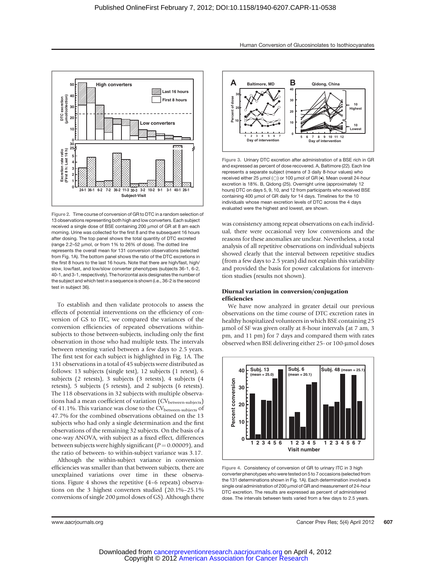

Figure 2. Time course of conversion of GR to DTC in a random selection of 13 observations representing both high and low converters. Each subject received a single dose of BSE containing 200 µmol of GR at 8 am each morning. Urine was collected for the first 8 and the subsequent 16 hours after dosing. The top panel shows the total quantity of DTC excreted (range 2.2-52 µmol, or from 1% to 26% of dose). The dotted line represents the overall mean for 131 conversion observations (selected from Fig. 1A). The bottom panel shows the ratio of the DTC excretions in the first 8 hours to the last 16 hours. Note that there are high/fast, high/ slow, low/fast, and low/slow converter phenotypes (subjects 36-1, 6-2, 40-1, and 3-1, respectively). The horizontal axis designates the number of the subject and which test in a sequence is shown (i.e., 36-2 is the second test in subject 36).

To establish and then validate protocols to assess the effects of potential interventions on the efficiency of conversion of GS to ITC, we compared the variances of the conversion efficiencies of repeated observations withinsubjects to those between-subjects, including only the first observation in those who had multiple tests. The intervals between retesting varied between a few days to 2.5 years. The first test for each subject is highlighted in Fig. 1A. The 131 observations in a total of 45 subjects were distributed as follows: 13 subjects (single test), 12 subjects (1 retest), 6 subjects (2 retests), 3 subjects (3 retests), 4 subjects (4 retests), 5 subjects (5 retests), and 2 subjects (6 retests). The 118 observations in 32 subjects with multiple observations had a mean coefficient of variation (CV<sub>between-subjects</sub>) of 41.1%. This variance was close to the CV<sub>between-subjects</sub> of 47.7% for the combined observations obtained on the 13 subjects who had only a single determination and the first observations of the remaining 32 subjects. On the basis of a one-way ANOVA, with subject as a fixed effect, differences between subjects were highly significant ( $P = 0.00009$ ), and the ratio of between- to within-subject variance was 3.17.

Although the within-subject variance in conversion efficiencies was smaller than that between subjects, there are unexplained variations over time in these observations. Figure 4 shows the repetitive (4–6 repeats) observations on the 3 highest converters studied (20.1%–25.1% conversions of single 200  $\mu$ mol doses of GS). Although there



Figure 3. Urinary DTC excretion after administration of a BSE rich in GR and expressed as percent of dose recovered. A, Baltimore (22). Each line represents a separate subject (means of 3 daily 8-hour values) who received either 25  $\mu$ mol ( $\odot$ ) or 100  $\mu$ mol of GR ( $\bullet$ ). Mean overall 24-hour excretion is 18%. B, Qidong (25). Overnight urine (approximately 12 hours) DTC on days 5, 9, 10, and 12 from participants who received BSE containing 400 umol of GR daily for 14 days. Timelines for the 10 individuals whose mean excretion levels of DTC across the 4 days evaluated were the highest and lowest, are shown.

was consistency among repeat observations on each individual, there were occasional very low conversions and the reasons for these anomalies are unclear. Nevertheless, a total analysis of all repetitive observations on individual subjects showed clearly that the interval between repetitive studies (from a few days to 2.5 years) did not explain this variability and provided the basis for power calculations for intervention studies (results not shown).

#### Diurnal variation in conversion/conjugation efficiencies

We have now analyzed in greater detail our previous observations on the time course of DTC excretion rates in healthy hospitalized volunteers in which BSE containing 25 mmol of SF was given orally at 8-hour intervals (at 7 am, 3 pm, and 11 pm) for 7 days and compared them with rates observed when BSE delivering either 25- or 100-µmol doses



Figure 4. Consistency of conversion of GR to urinary ITC in 3 high converter phenotypes who were tested on 5 to 7 occasions (selected from the 131 determinations shown in Fig. 1A). Each determination involved a single oral administration of 200 µmol of GR and measurement of 24-hour DTC excretion. The results are expressed as percent of administered dose. The intervals between tests varied from a few days to 2.5 years.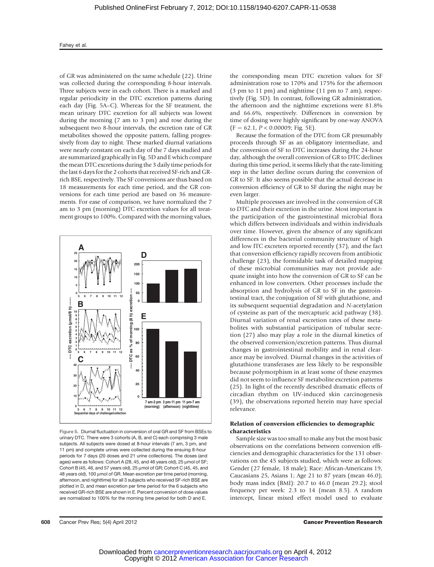of GR was administered on the same schedule (22). Urine was collected during the corresponding 8-hour intervals. Three subjects were in each cohort. There is a marked and regular periodicity in the DTC excretion patterns during each day (Fig. 5A–C). Whereas for the SF treatment, the mean urinary DTC excretion for all subjects was lowest during the morning (7 am to 3 pm) and rose during the subsequent two 8-hour intervals, the excretion rate of GR metabolites showed the opposite pattern, falling progressively from day to night. These marked diurnal variations were nearly constant on each day of the 7 days studied and are summarized graphically in Fig. 5D and E which compare the mean DTC excretions during the 3 daily time periods for the last 6 days for the 2 cohorts that received SF-rich and GRrich BSE, respectively. The SF conversions are thus based on 18 measurements for each time period, and the GR conversions for each time period are based on 36 measurements. For ease of comparison, we have normalized the 7 am to 3 pm (morning) DTC excretion values for all treatment groups to 100%. Compared with the morning values,



Figure 5. Diurnal fluctuation in conversion of oral GR and SF from BSEs to urinary DTC. There were 3 cohorts (A, B, and C) each comprising 3 male subjects. All subjects were dosed at 8-hour intervals (7 am, 3 pm, and 11 pm) and complete urines were collected during the ensuing 8-hour periods for 7 days (20 doses and 21 urine collections). The doses (and ages) were as follows: Cohort A (28, 45, and 46 years old),  $25 \mu$ mol of SF; Cohort B (45, 46, and 57 years old),  $25 \mu$ mol of GR; Cohort C (45, 45, and 48 years old), 100 µmol of GR. Mean excretion per time period (morning, afternoon, and nighttime) for all 3 subjects who received SF-rich BSE are plotted in D, and mean excretion per time period for the 6 subjects who received GR-rich BSE are shown in E. Percent conversion of dose values are normalized to 100% for the morning time period for both D and E.

the corresponding mean DTC excretion values for SF administration rose to 170% and 175% for the afternoon (3 pm to 11 pm) and nighttime (11 pm to 7 am), respectively (Fig. 5D). In contrast, following GR administration, the afternoon and the nighttime excretions were 81.8% and 66.6%, respectively. Differences in conversion by time of dosing were highly significant by one-way ANOVA  $(F = 62.1, P < 0.00009; Fig. 5E).$ 

Because the formation of the DTC from GR presumably proceeds through SF as an obligatory intermediate, and the conversion of SF to DTC increases during the 24-hour day, although the overall conversion of GR to DTC declines during this time period, it seems likely that the rate-limiting step in the latter decline occurs during the conversion of GR to SF. It also seems possible that the actual decrease in conversion efficiency of GR to SF during the night may be even larger.

Multiple processes are involved in the conversion of GR to DTC and their excretion in the urine. Most important is the participation of the gastrointestinal microbial flora which differs between individuals and within individuals over time. However, given the absence of any significant differences in the bacterial community structure of high and low ITC excreters reported recently (37), and the fact that conversion efficiency rapidly recovers from antibiotic challenge (23), the formidable task of detailed mapping of these microbial communities may not provide adequate insight into how the conversion of GR to SF can be enhanced in low converters. Other processes include the absorption and hydrolysis of GR to SF in the gastrointestinal tract, the conjugation of SF with glutathione, and its subsequent sequential degradation and N-acetylation of cysteine as part of the mercapturic acid pathway (38). Diurnal variation of renal excretion rates of these metabolites with substantial participation of tubular secretion (27) also may play a role in the diurnal kinetics of the observed conversion/excretion patterns. Thus diurnal changes in gastrointestinal mobility and in renal clearance may be involved. Diurnal changes in the activities of glutathione transferases are less likely to be responsible because polymorphism in at least some of these enzymes did not seem to influence SF metabolite excretion patterns (25). In light of the recently described dramatic effects of circadian rhythm on UV-induced skin carcinogenesis (39), the observations reported herein may have special relevance.

# Relation of conversion efficiencies to demographic characteristics

Sample size was too small to make any but the most basic observations on the correlations between conversion efficiencies and demographic characteristics for the 131 observations on the 45 subjects studied, which were as follows: Gender (27 female, 18 male); Race: African-Americans 19, Caucasians 25, Asians 1; Age 21 to 87 years (mean 46.0); body mass index (BMI): 20.7 to 46.0 (mean 29.2); stool frequency per week: 2.3 to 14 (mean 8.5). A random intercept, linear mixed effect model used to evaluate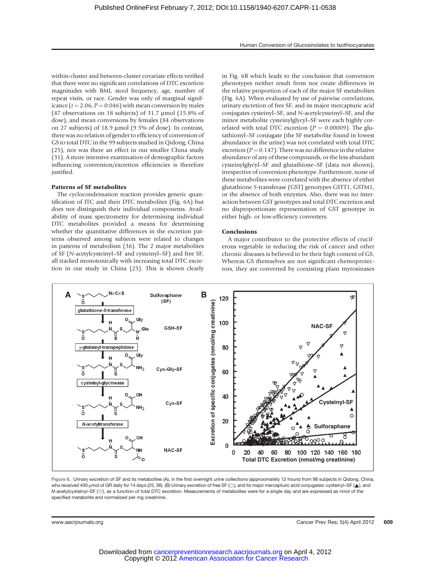within-cluster and between-cluster covariate effects verified that there were no significant correlations of DTC excretion magnitudes with BMI, stool frequency, age, number of repeat visits, or race. Gender was only of marginal significance ( $t = 2.06$ ,  $P = 0.046$ ) with mean conversion by males (47 observations on 18 subjects) of 31.7  $\mu$ mol (15.8% of dose), and mean conversions by females (84 observations on 27 subjects) of 18.9 µmol (9.5% of dose). In contrast, there was no relation of gender to efficiency of conversion of GS to total DTC in the 99 subjects studied in Qidong, China (25), nor was there an effect in our smaller China study (31). A more intensive examination of demographic factors influencing conversion/excretion efficiencies is therefore justified.

#### Patterns of SF metabolites

The cyclocondensation reaction provides generic quantification of ITC and their DTC metabolites (Fig. 6A) but does not distinguish their individual components. Availability of mass spectrometry for determining individual DTC metabolites provided a means for determining whether the quantitative differences in the excretion patterns observed among subjects were related to changes in patterns of metabolism (36). The 2 major metabolites of SF (N-acetylcysteinyl–SF and cysteinyl–SF) and free SF, all tracked monotonically with increasing total DTC excretion in our study in China (25). This is shown clearly

in Fig. 6B which leads to the conclusion that conversion phenotypes neither result from nor create differences in the relative proportion of each of the major SF metabolites (Fig. 6A). When evaluated by use of pairwise correlations, urinary excretion of free SF, and its major mercapturic acid conjugates cysteinyl–SF, and N-acetylcysteinyl–SF, and the minor metabolite cysteinylglycyl–SF were each highly correlated with total DTC excretion ( $P = 0.00009$ ). The glutathionyl–SF conjugate (the SF metabolite found in lowest abundance in the urine) was not correlated with total DTC excretion ( $P = 0.147$ ). There was no difference in the relative abundance of any of these compounds, or the less abundant cysteinylglycyl–SF and glutathione–SF (data not shown), irrespective of conversion phenotype. Furthermore, none of these metabolites were correlated with the absence of either glutathione S-transferase (GST) genotypes GSTT1, GSTM1, or the absence of both enzymes. Also, there was no interaction between GST genotypes and total DTC excretion and no disproportionate representation of GST genotype in either high- or low-efficiency converters.

#### **Conclusions**

A major contributor to the protective effects of cruciferous vegetable in reducing the risk of cancer and other chronic diseases is believed to be their high content of GS. Whereas GS themselves are not significant chemoprotectors, they are converted by coexisting plant myrosinases



Figure 6. Urinary excretion of SF and its metabolites (A), in the first overnight urine collections (approximately 12 hours) from 98 subjects in Qidong, China, who received 400 µmol of GR daily for 14 days (25, 36). (B) Urinary excretion of free SF (O), and its major mercapturic acid conjugates: cysteinyl–SF ( $\blacktriangle$ ), and N-acetylcysteinyl-SF ( $\heartsuit$ ), as a function of total DTC excretion. Measurements of metabolites were for a single day and are expressed as nmol of the specified metabolite and normalized per mg creatinine.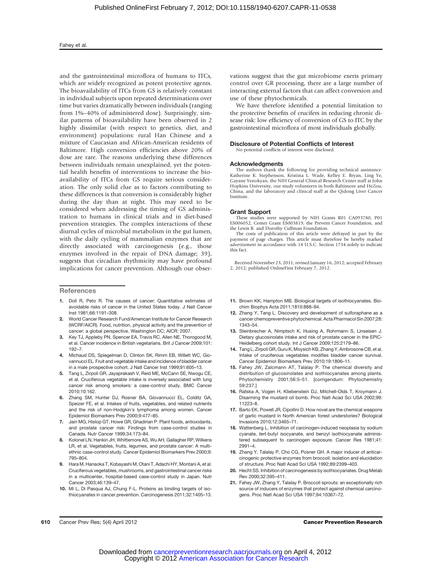#### Fahey et al.

and the gastrointestinal microflora of humans to ITCs, which are widely recognized as potent protective agents. The bioavailability of ITCs from GS is relatively constant in individual subjects upon repeated determinations over time but varies dramatically between individuals (ranging from 1%–40% of administered dose). Surprisingly, similar patterns of bioavailability have been observed in 2 highly dissimilar (with respect to genetics, diet, and environment) populations: rural Han Chinese and a mixture of Caucasian and African-American residents of Baltimore. High conversion efficiencies above 20% of dose are rare. The reasons underlying these differences between individuals remain unexplained, yet the potential health benefits of interventions to increase the bioavailability of ITCs from GS require serious consideration. The only solid clue as to factors contributing to these differences is that conversion is considerably higher during the day than at night. This may need to be considered when addressing the timing of GS administration to humans in clinical trials and in diet-based prevention strategies. The complex interactions of these diurnal cycles of microbial metabolism in the gut lumen, with the daily cycling of mammalian enzymes that are directly associated with carcinogenesis (e.g., those enzymes involved in the repair of DNA damage; 39), suggests that circadian rhythmicity may have profound implications for cancer prevention. Although our obser-

#### **References**

- 1. Doll R, Peto R. The causes of cancer: Quantitative estimates of avoidable risks of cancer in the United States today. J Natl Cancer Inst 1981;66:1191–308.
- 2. World Cancer Research Fund/American Institute for Cancer Research (WCRF/AICR). Food, nutrition, physical activity and the prevention of cancer: a global perspective. Washington DC; AICR: 2007.
- 3. Key TJ, Appleby PN, Spencer EA, Travis RC, Allen NE, Thorogood M, et al. Cancer incidence in British vegetarians. Brit J Cancer 2009;101: 192–7.
- 4. Michaud DS, Spiegelman D, Clinton SK, Rimm EB, Willett WC, Giovannucci EL. Fruit and vegetable intake and incidence of bladder cancer in a male prospective cohort. J Natl Cancer Inst 1999;91:605–13.
- 5. Tang L, Zirpoli GR, Jayaprakash V, Reid ME, McCann SE, Nwogu CE, et al. Cruciferous vegetable intake is inversely associated with lung cancer risk among smokers: a case-control study. BMC Cancer 2010;10:162.
- 6. Zhang SM, Hunter DJ, Rosner BA, Giovannucci EL, Colditz GA, Speizer FE, et al. Intakes of fruits, vegetables, and related nutrients and the risk of non-Hodgkin's lymphoma among women. Cancer Epidemiol Biomarkers Prev 2000;9:477–85.
- 7. Jain MG, Hislop GT, Howe GR, Ghadirian P. Plant foods, antioxidants, and prostate cancer risk: Findings from case-control studies in Canada. Nutr Cancer 1999;34:173–84.
- 8. Kolonel LN, Hankin JH, Whittemore AS, Wu AH, Gallagher RP, Wilkens LR, et al. Vegetables, fruits, legumes, and prostate cancer: A multiethnic case-control study. Cancer Epidemiol Biomarkers Prev 2000;9: 795–804.
- Hara M, Hanaoka T, Kobayashi M, Otani T, Adachi HY, Montani A, et al. Cruciferous vegetables, mushrooms, and gastrointestinal cancer risks in a multicenter, hospital-based case-control study in Japan. Nutr Cancer 2003;46:139–47.
- 10. Mi L, Di Pasqua AJ, Chung F-L. Proteins as binding targets of isothiocyanates in cancer prevention. Carcinogenesis 2011;32:1405–13.

vations suggest that the gut microbiome exerts primary control over GR processing, there are a large number of interacting external factors that can affect conversion and use of these phytochemicals.

We have therefore identified a potential limitation to the protective benefits of crucifers in reducing chronic disease risk: low efficiency of conversion of GS to ITC by the gastrointestinal microflora of most individuals globally.

#### Disclosure of Potential Conflicts of Interest

# No potential conflicts of interest were disclosed.

#### Acknowledgments

The authors thank the following for providing technical assistance: Katherine K. Stephenson, Kristina L. Wade, Kelley E. Bryan, Ling Ye, Gayane Yenokyan, the NIH General Clinical Research Center staff at John Hopkins University, our study volunteers in both Baltimore and HeZou, China, and the laboratory and clinical staff at the Qidong Liver Cancer Institute.

#### Grant Support

These studies were supported by NIH Grants R01 CA093780, P01 ES006052, Center Grant ES003819, the Prevent Cancer Foundation, and the Lewis B. and Dorothy Cullman Foundation.

The costs of publication of this article were defrayed in part by the payment of page charges. This article must therefore be hereby marked advertisement in accordance with 18 U.S.C. Section 1734 solely to indicate this fact.

Received November 23, 2011; revised January 16, 2012; accepted February 2, 2012; published OnlineFirst February 7, 2012.

- 11. Brown KK, Hampton MB. Biological targets of isothiocyanates. Biochim Biophys Acta 2011;1810:888–94.
- 12. Zhang Y, Tang L. Discovery and development of sulforaphane as a cancer chemopreventive phytochemical. Acta Pharmacol Sin 2007;28: 1343–54.
- 13. Steinbrecher A, Nimptsch K, Husing A, Rohrmann S, Linseisen J. Dietary glucosinolate intake and risk of prostate cancer in the EPIC-Heidelberg cohort study. Int J Cancer 2009;125:2179–86.
- 14. Tang L, Zirpoli GR, Guru K, Moysich KB, Zhang Y, Ambrosone CB, et al. Intake of cruciferous vegetables modifies bladder cancer survival. Cancer Epidemiol Biomarkers Prev 2010;19:1806–11.
- 15. Fahey JW, Zalcmann AT, Talalay P. The chemical diversity and distribution of glucosinolates and isothiocyanates among plants. Phytochemistry 2001;56:5–51. [corrigendum: Phytochemistry 59:237.]
- 16. Ratska A, Vogen H, Kliebenstein DJ, Mitchell-Olds T, Kroymann J. Disarming the mustard oil bomb. Proc Natl Acad Sci USA 2002;99: 11223–8.
- 17. Barto EK, Powell JR, Cipollini D. How novel are the chemical weapons of garlic mustard in North American forest understories? Biological Invasions 2010;12:3465–71.
- 18. Wattenberg L. Inhibition of carcinogen-induced neoplasia by sodium cyanate, tert-butyl isocyanate, and benzyl isothiocyanate administered subsequent to carcinogen exposure. Cancer Res 1981;41: 2991–4.
- 19. Zhang Y, Talalay P, Cho CG, Posner GH. A major inducer of anticarcinogenic protective enzymes from broccoli: isolation and elucidation of structure. Proc Natl Acad Sci USA 1992;89:2399–403.
- 20. Hecht SS. Inhibition of carcinogenesis by isothiocyanates. Drug Metab Rev 2000;32:395–411.
- 21. Fahey JW, Zhang Y, Talalay P. Broccoli sprouts: an exceptionally rich source of inducers of enzymes that protect against chemical carcinogens. Proc Natl Acad Sci USA 1997;94:10367–72.

610 Cancer Prev Res; 5(4) April 2012 Cancer Prevention Research